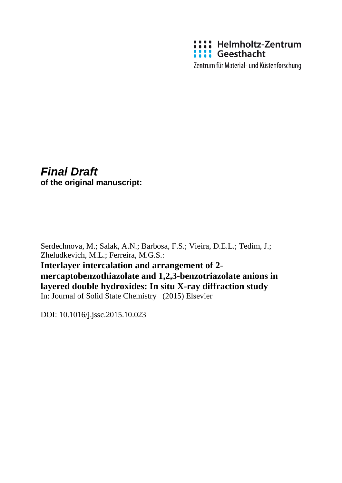

Zentrum für Material- und Küstenforschung

## *Final Draft* **of the original manuscript:**

Serdechnova, M.; Salak, A.N.; Barbosa, F.S.; Vieira, D.E.L.; Tedim, J.; Zheludkevich, M.L.; Ferreira, M.G.S.:

**Interlayer intercalation and arrangement of 2 mercaptobenzothiazolate and 1,2,3-benzotriazolate anions in layered double hydroxides: In situ X-ray diffraction study** In: Journal of Solid State Chemistry (2015) Elsevier

DOI: 10.1016/j.jssc.2015.10.023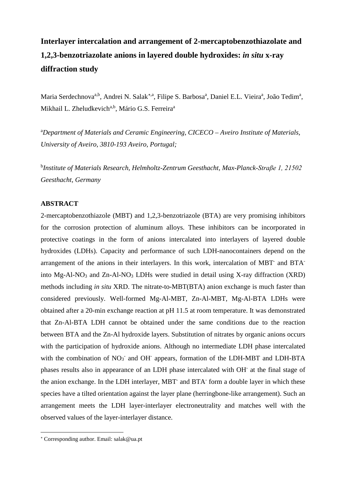# **Interlayer intercalation and arrangement of 2-mercaptobenzothiazolate and 1,2,3-benzotriazolate anions in layered double hydroxides:** *in situ* **x-ray diffraction study**

Maria Serdechnova<sup>a,b</sup>, Andrei N. Salak<sup>\*,a</sup>, Filipe S. Barbosa<sup>a</sup>, Daniel E.L. Vieira<sup>a</sup>, João Tedim<sup>a</sup>, Mikhail L. Zheludkevich<sup>a,b</sup>, Mário G.S. Ferreira<sup>a</sup>

a *Department of Materials and Ceramic Engineering, CICECO – Aveiro Institute of Materials, University of Aveiro, 3810-193 Aveiro, Portugal;*

b *Institute of Materials Research, Helmholtz-Zentrum Geesthacht, Max-Planck-Straβe 1, 21502 Geesthacht, Germany*

## **ABSTRACT**

2-mercaptobenzothiazole (MBT) and 1,2,3-benzotriazole (BTA) are very promising inhibitors for the corrosion protection of aluminum alloys. These inhibitors can be incorporated in protective coatings in the form of anions intercalated into interlayers of layered double hydroxides (LDHs). Capacity and performance of such LDH-nanocontainers depend on the arrangement of the anions in their interlayers. In this work, intercalation of MBT- and BTAinto Mg-Al-NO<sub>3</sub> and Zn-Al-NO<sub>3</sub> LDHs were studied in detail using X-ray diffraction  $(XRD)$ methods including *in situ* XRD. The nitrate-to-MBT(BTA) anion exchange is much faster than considered previously. Well-formed Mg-Al-MBT, Zn-Al-MBT, Mg-Al-BTA LDHs were obtained after a 20-min exchange reaction at pH 11.5 at room temperature. It was demonstrated that Zn-Al-BTA LDH cannot be obtained under the same conditions due to the reaction between BTA and the Zn-Al hydroxide layers. Substitution of nitrates by organic anions occurs with the participation of hydroxide anions. Although no intermediate LDH phase intercalated with the combination of NO<sub>3</sub> and OH appears, formation of the LDH-MBT and LDH-BTA phases results also in appearance of an LDH phase intercalated with OH- at the final stage of the anion exchange. In the LDH interlayer, MBT- and BTA- form a double layer in which these species have a tilted orientation against the layer plane (herringbone-like arrangement). Such an arrangement meets the LDH layer-interlayer electroneutrality and matches well with the observed values of the layer-interlayer distance.

 $\overline{a}$ 

<span id="page-1-0"></span><sup>∗</sup> Corresponding author. Email: salak@ua.pt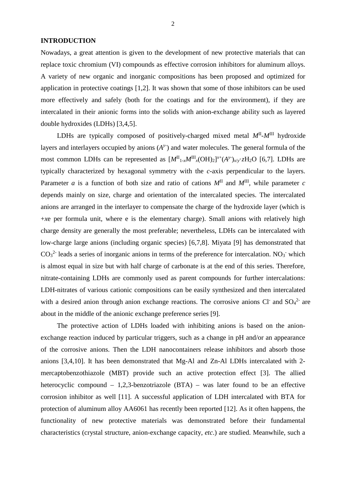## **INTRODUCTION**

Nowadays, a great attention is given to the development of new protective materials that can replace toxic chromium (VI) compounds as effective corrosion inhibitors for aluminum alloys. A variety of new organic and inorganic compositions has been proposed and optimized for application in protective coatings [1,2]. It was shown that some of those inhibitors can be used more effectively and safely (both for the coatings and for the environment), if they are intercalated in their anionic forms into the solids with anion-exchange ability such as layered double hydroxides (LDHs) [3,4,5].

LDHs are typically composed of positively-charged mixed metal  $M<sup>II</sup>$ - $M<sup>III</sup>$  hydroxide layers and interlayers occupied by anions  $(A^y)$  and water molecules. The general formula of the most common LDHs can be represented as  $[M<sup>H</sup>_{1-x}M<sup>H</sup>_{x}(OH)_{2}]^{x+}(A^{y})_{x/y}$  *z*H<sub>2</sub>O [6,7]. LDHs are typically characterized by hexagonal symmetry with the *c*-axis perpendicular to the layers. Parameter *a* is a function of both size and ratio of cations  $M<sup>II</sup>$  and  $M<sup>III</sup>$ , while parameter *c* depends mainly on size, charge and orientation of the intercalated species. The intercalated anions are arranged in the interlayer to compensate the charge of the hydroxide layer (which is +*x*e per formula unit, where e is the elementary charge). Small anions with relatively high charge density are generally the most preferable; nevertheless, LDHs can be intercalated with low-charge large anions (including organic species) [6,7,8]. Miyata [9] has demonstrated that  $CO<sub>3</sub><sup>2</sup>$  leads a series of inorganic anions in terms of the preference for intercalation. NO<sub>3</sub> which is almost equal in size but with half charge of carbonate is at the end of this series. Therefore, nitrate-containing LDHs are commonly used as parent compounds for further intercalations: LDH-nitrates of various cationic compositions can be easily synthesized and then intercalated with a desired anion through anion exchange reactions. The corrosive anions Cl and  $SO<sub>4</sub><sup>2</sup>$  are about in the middle of the anionic exchange preference series [9].

The protective action of LDHs loaded with inhibiting anions is based on the anionexchange reaction induced by particular triggers, such as a change in pH and/or an appearance of the corrosive anions. Then the LDH nanocontainers release inhibitors and absorb those anions [3,4,10]. It has been demonstrated that Mg-Al and Zn-Al LDHs intercalated with 2 mercaptobenzothiazole (MBT) provide such an active protection effect [3]. The allied heterocyclic compound – 1,2,3-benzotriazole (BTA) – was later found to be an effective corrosion inhibitor as well [11]. A successful application of LDH intercalated with BTA for protection of aluminum alloy AA6061 has recently been reported [12]. As it often happens, the functionality of new protective materials was demonstrated before their fundamental characteristics (crystal structure, anion-exchange capacity, *etc*.) are studied. Meanwhile, such a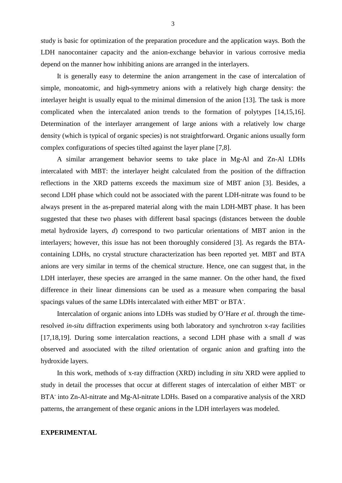study is basic for optimization of the preparation procedure and the application ways. Both the LDH nanocontainer capacity and the anion-exchange behavior in various corrosive media depend on the manner how inhibiting anions are arranged in the interlayers.

It is generally easy to determine the anion arrangement in the case of intercalation of simple, monoatomic, and high-symmetry anions with a relatively high charge density: the interlayer height is usually equal to the minimal dimension of the anion [13]. The task is more complicated when the intercalated anion trends to the formation of polytypes [14,15,16]. Determination of the interlayer arrangement of large anions with a relatively low charge density (which is typical of organic species) is not straightforward. Organic anions usually form complex configurations of species tilted against the layer plane [7,8].

A similar arrangement behavior seems to take place in Mg-Al and Zn-Al LDHs intercalated with MBT: the interlayer height calculated from the position of the diffraction reflections in the XRD patterns exceeds the maximum size of MBT anion [3]. Besides, a second LDH phase which could not be associated with the parent LDH-nitrate was found to be always present in the as-prepared material along with the main LDH-MBT phase. It has been suggested that these two phases with different basal spacings (distances between the double metal hydroxide layers, *d*) correspond to two particular orientations of MBT anion in the interlayers; however, this issue has not been thoroughly considered [3]. As regards the BTAcontaining LDHs, no crystal structure characterization has been reported yet. MBT and BTA anions are very similar in terms of the chemical structure. Hence, one can suggest that, in the LDH interlayer, these species are arranged in the same manner. On the other hand, the fixed difference in their linear dimensions can be used as a measure when comparing the basal spacings values of the same LDHs intercalated with either MBT or BTA.

Intercalation of organic anions into LDHs was studied by O'Hare *et al*. through the timeresolved *in-situ* diffraction experiments using both laboratory and synchrotron x-ray facilities [17,18,19]. During some intercalation reactions, a second LDH phase with a small *d* was observed and associated with the *tilted* orientation of organic anion and grafting into the hydroxide layers.

In this work, methods of x-ray diffraction (XRD) including *in situ* XRD were applied to study in detail the processes that occur at different stages of intercalation of either MBT- or BTA- into Zn-Al-nitrate and Mg-Al-nitrate LDHs. Based on a comparative analysis of the XRD patterns, the arrangement of these organic anions in the LDH interlayers was modeled.

## **EXPERIMENTAL**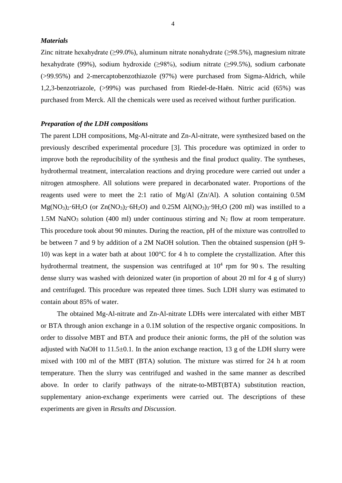## *Materials*

Zinc nitrate hexahydrate (≥99.0%), aluminum nitrate nonahydrate (≥98.5%), magnesium nitrate hexahydrate (99%), sodium hydroxide (≥98%), sodium nitrate (≥99.5%), sodium carbonate (>99.95%) and 2-mercaptobenzothiazole (97%) were purchased from Sigma-Aldrich, while 1,2,3-benzotriazole, (>99%) was purchased from Riedel-de-Haën. Nitric acid (65%) was purchased from Merck. All the chemicals were used as received without further purification.

## *Preparation of the LDH compositions*

The parent LDH compositions, Mg-Al-nitrate and Zn-Al-nitrate, were synthesized based on the previously described experimental procedure [3]. This procedure was optimized in order to improve both the reproducibility of the synthesis and the final product quality. The syntheses, hydrothermal treatment, intercalation reactions and drying procedure were carried out under a nitrogen atmosphere. All solutions were prepared in decarbonated water. Proportions of the reagents used were to meet the 2:1 ratio of Mg/Al (Zn/Al). A solution containing  $0.5M$  $Mg(NO_3)_2.6H_2O$  (or  $Zn(NO_3)_2.6H_2O$ ) and 0.25M  $Al(NO_3)_3.9H_2O$  (200 ml) was instilled to a 1.5M NaNO<sub>3</sub> solution (400 ml) under continuous stirring and N<sub>2</sub> flow at room temperature. This procedure took about 90 minutes. During the reaction, pH of the mixture was controlled to be between 7 and 9 by addition of a 2M NaOH solution. Then the obtained suspension (pH 9- 10) was kept in a water bath at about 100°C for 4 h to complete the crystallization. After this hydrothermal treatment, the suspension was centrifuged at  $10<sup>4</sup>$  rpm for 90 s. The resulting dense slurry was washed with deionized water (in proportion of about 20 ml for 4 g of slurry) and centrifuged. This procedure was repeated three times. Such LDH slurry was estimated to contain about 85% of water.

The obtained Mg-Al-nitrate and Zn-Al-nitrate LDHs were intercalated with either MBT or BTA through anion exchange in a 0.1M solution of the respective organic compositions. In order to dissolve MBT and BTA and produce their anionic forms, the pH of the solution was adjusted with NaOH to  $11.5\pm0.1$ . In the anion exchange reaction, 13 g of the LDH slurry were mixed with 100 ml of the MBT (BTA) solution. The mixture was stirred for 24 h at room temperature. Then the slurry was centrifuged and washed in the same manner as described above. In order to clarify pathways of the nitrate-to-MBT(BTA) substitution reaction, supplementary anion-exchange experiments were carried out. The descriptions of these experiments are given in *Results and Discussion*.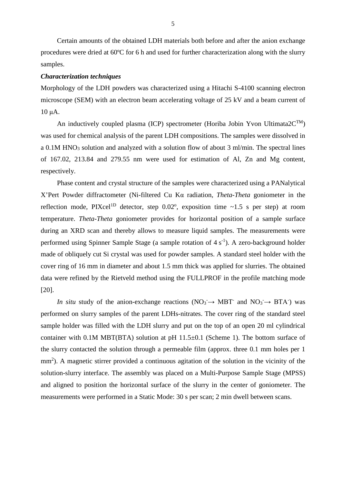Certain amounts of the obtained LDH materials both before and after the anion exchange procedures were dried at 60ºC for 6 h and used for further characterization along with the slurry samples.

## *Characterization techniques*

Morphology of the LDH powders was characterized using a Hitachi S-4100 scanning electron microscope (SEM) with an electron beam accelerating voltage of 25 kV and a beam current of 10 μA.

An inductively coupled plasma (ICP) spectrometer (Horiba Jobin Yvon Ultimata2 $C^{TM}$ ) was used for chemical analysis of the parent LDH compositions. The samples were dissolved in a 0.1M HNO<sub>3</sub> solution and analyzed with a solution flow of about 3 ml/min. The spectral lines of 167.02, 213.84 and 279.55 nm were used for estimation of Al, Zn and Mg content, respectively.

Phase content and crystal structure of the samples were characterized using a PANalytical X'Pert Powder diffractometer (Ni-filtered Cu Kα radiation, *Theta-Theta* goniometer in the reflection mode, PIXcel<sup>1D</sup> detector, step  $0.02^{\circ}$ , exposition time ~1.5 s per step) at room temperature. *Theta-Theta* goniometer provides for horizontal position of a sample surface during an XRD scan and thereby allows to measure liquid samples. The measurements were performed using Spinner Sample Stage (a sample rotation of  $4 \text{ s}^{-1}$ ). A zero-background holder made of obliquely cut Si crystal was used for powder samples. A standard steel holder with the cover ring of 16 mm in diameter and about 1.5 mm thick was applied for slurries. The obtained data were refined by the Rietveld method using the FULLPROF in the profile matching mode [20].

*In situ* study of the anion-exchange reactions (NO<sub>3</sub>  $\rightarrow$  MBT and NO<sub>3</sub>  $\rightarrow$  BTA<sup>-</sup>) was performed on slurry samples of the parent LDHs-nitrates. The cover ring of the standard steel sample holder was filled with the LDH slurry and put on the top of an open 20 ml cylindrical container with  $0.1M$  MBT(BTA) solution at pH  $11.5\pm0.1$  (Scheme 1). The bottom surface of the slurry contacted the solution through a permeable film (approx. three 0.1 mm holes per 1 mm<sup>2</sup>). A magnetic stirrer provided a continuous agitation of the solution in the vicinity of the solution-slurry interface. The assembly was placed on a Multi-Purpose Sample Stage (MPSS) and aligned to position the horizontal surface of the slurry in the center of goniometer. The measurements were performed in a Static Mode: 30 s per scan; 2 min dwell between scans.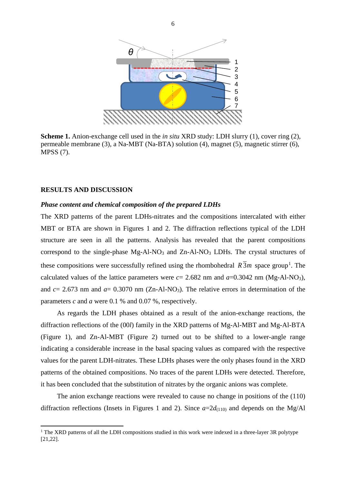

**Scheme 1.** Anion-exchange cell used in the *in situ* XRD study: LDH slurry (1), cover ring (2), permeable membrane (3), a Na-MBT (Na-BTA) solution (4), magnet (5), magnetic stirrer (6), MPSS (7).

#### **RESULTS AND DISCUSSION**

 $\overline{a}$ 

#### *Phase content and chemical composition of the prepared LDHs*

The XRD patterns of the parent LDHs-nitrates and the compositions intercalated with either MBT or BTA are shown in Figures 1 and 2. The diffraction reflections typical of the LDH structure are seen in all the patterns. Analysis has revealed that the parent compositions correspond to the single-phase Mg-Al-NO3 and Zn-Al-NO3 LDHs. The crystal structures of these compositions were successfully refined using the rhombohedral  $R\overline{3}m$  space group<sup>[1](#page-6-0)</sup>. The calculated values of the lattice parameters were  $c = 2.682$  nm and  $a = 0.3042$  nm (Mg-Al-NO<sub>3</sub>), and  $c= 2.673$  nm and  $a= 0.3070$  nm (Zn-Al-NO<sub>3</sub>). The relative errors in determination of the parameters *c* and *a* were 0.1 % and 0.07 %, respectively.

As regards the LDH phases obtained as a result of the anion-exchange reactions, the diffraction reflections of the (00*l*) family in the XRD patterns of Mg-Al-MBT and Mg-Al-BTA (Figure 1), and Zn-Al-MBT (Figure 2) turned out to be shifted to a lower-angle range indicating a considerable increase in the basal spacing values as compared with the respective values for the parent LDH-nitrates. These LDHs phases were the only phases found in the XRD patterns of the obtained compositions. No traces of the parent LDHs were detected. Therefore, it has been concluded that the substitution of nitrates by the organic anions was complete.

The anion exchange reactions were revealed to cause no change in positions of the (110) diffraction reflections (Insets in Figures 1 and 2). Since  $a=2d_{(110)}$  and depends on the Mg/Al

<span id="page-6-0"></span><sup>&</sup>lt;sup>1</sup> The XRD patterns of all the LDH compositions studied in this work were indexed in a three-layer 3R polytype [21,22].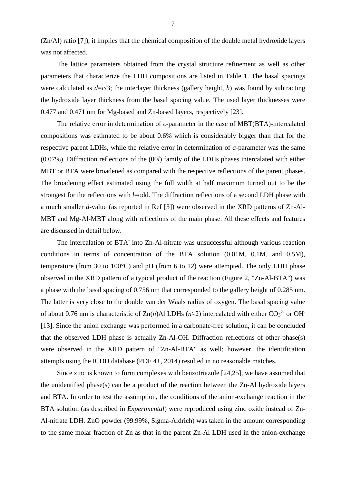(Zn/Al) ratio [7]), it implies that the chemical composition of the double metal hydroxide layers was not affected.

The lattice parameters obtained from the crystal structure refinement as well as other parameters that characterize the LDH compositions are listed in Table 1. The basal spacings were calculated as *d*=*c*/3; the interlayer thickness (gallery height, *h*) was found by subtracting the hydroxide layer thickness from the basal spacing value. The used layer thicknesses were 0.477 and 0.471 nm for Mg-based and Zn-based layers, respectively [23].

The relative error in determination of *c*-parameter in the case of MBT(BTA)-intercalated compositions was estimated to be about 0.6% which is considerably bigger than that for the respective parent LDHs, while the relative error in determination of *a*-parameter was the same (0.07%). Diffraction reflections of the (00*l*) family of the LDHs phases intercalated with either MBT or BTA were broadened as compared with the respective reflections of the parent phases. The broadening effect estimated using the full width at half maximum turned out to be the strongest for the reflections with *l*=odd. The diffraction reflections of a second LDH phase with a much smaller *d*-value (as reported in Ref [3]) were observed in the XRD patterns of Zn-Al-MBT and Mg-Al-MBT along with reflections of the main phase. All these effects and features are discussed in detail below.

The intercalation of BTA<sup>-</sup> into Zn-Al-nitrate was unsuccessful although various reaction conditions in terms of concentration of the BTA solution (0.01M, 0.1M, and 0.5M), temperature (from 30 to 100°C) and pH (from 6 to 12) were attempted. The only LDH phase observed in the XRD pattern of a typical product of the reaction (Figure 2, "Zn-Al-BTA") was a phase with the basal spacing of 0.756 nm that corresponded to the gallery height of 0.285 nm. The latter is very close to the double van der Waals radius of oxygen. The basal spacing value of about 0.76 nm is characteristic of Zn(*n*)Al LDHs ( $n \approx 2$ ) intercalated with either CO<sub>3</sub><sup>2</sup> or OH<sup>-</sup> [13]. Since the anion exchange was performed in a carbonate-free solution, it can be concluded that the observed LDH phase is actually Zn-Al-OH. Diffraction reflections of other phase(s) were observed in the XRD pattern of "Zn-Al-BTA" as well; however, the identification attempts using the ICDD database (PDF 4+, 2014) resulted in no reasonable matches.

Since zinc is known to form complexes with benzotriazole [24,25], we have assumed that the unidentified phase(s) can be a product of the reaction between the Zn-Al hydroxide layers and BTA. In order to test the assumption, the conditions of the anion-exchange reaction in the BTA solution (as described in *Experimental*) were reproduced using zinc oxide instead of Zn-Al-nitrate LDH. ZnO powder (99.99%, Sigma-Aldrich) was taken in the amount corresponding to the same molar fraction of Zn as that in the parent Zn-Al LDH used in the anion-exchange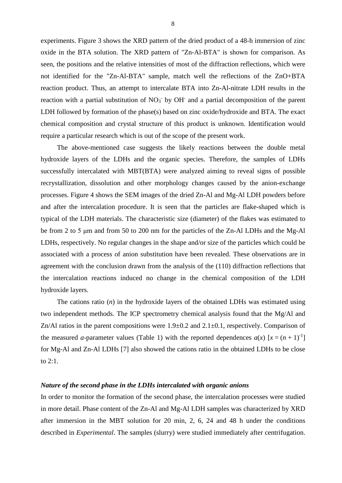experiments. Figure 3 shows the XRD pattern of the dried product of a 48-h immersion of zinc oxide in the BTA solution. The XRD pattern of "Zn-Al-BTA" is shown for comparison. As seen, the positions and the relative intensities of most of the diffraction reflections, which were not identified for the "Zn-Al-BTA" sample, match well the reflections of the ZnO+BTA reaction product. Thus, an attempt to intercalate BTA into Zn-Al-nitrate LDH results in the reaction with a partial substitution of  $NO<sub>3</sub>$  by OH and a partial decomposition of the parent LDH followed by formation of the phase(s) based on zinc oxide/hydroxide and BTA. The exact chemical composition and crystal structure of this product is unknown. Identification would require a particular research which is out of the scope of the present work.

The above-mentioned case suggests the likely reactions between the double metal hydroxide layers of the LDHs and the organic species. Therefore, the samples of LDHs successfully intercalated with MBT(BTA) were analyzed aiming to reveal signs of possible recrystallization, dissolution and other morphology changes caused by the anion-exchange processes. Figure 4 shows the SEM images of the dried Zn-Al and Mg-Al LDH powders before and after the intercalation procedure. It is seen that the particles are flake-shaped which is typical of the LDH materials. The characteristic size (diameter) of the flakes was estimated to be from 2 to 5 μm and from 50 to 200 nm for the particles of the Zn-Al LDHs and the Mg-Al LDHs, respectively. No regular changes in the shape and/or size of the particles which could be associated with a process of anion substitution have been revealed. These observations are in agreement with the conclusion drawn from the analysis of the (110) diffraction reflections that the intercalation reactions induced no change in the chemical composition of the LDH hydroxide layers.

The cations ratio (*n*) in the hydroxide layers of the obtained LDHs was estimated using two independent methods. The ICP spectrometry chemical analysis found that the Mg/Al and Zn/Al ratios in the parent compositions were  $1.9\pm0.2$  and  $2.1\pm0.1$ , respectively. Comparison of the measured *a*-parameter values (Table 1) with the reported dependences  $a(x)$  [ $x = (n + 1)^{-1}$ ] for Mg-Al and Zn-Al LDHs [7] also showed the cations ratio in the obtained LDHs to be close to 2:1.

#### *Nature of the second phase in the LDHs intercalated with organic anions*

In order to monitor the formation of the second phase, the intercalation processes were studied in more detail. Phase content of the Zn-Al and Mg-Al LDH samples was characterized by XRD after immersion in the MBT solution for 20 min, 2, 6, 24 and 48 h under the conditions described in *Experimental*. The samples (slurry) were studied immediately after centrifugation.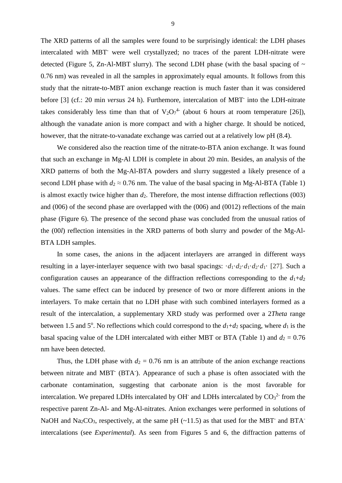The XRD patterns of all the samples were found to be surprisingly identical: the LDH phases intercalated with MBT- were well crystallyzed; no traces of the parent LDH-nitrate were detected (Figure 5, Zn-Al-MBT slurry). The second LDH phase (with the basal spacing of  $\sim$ 0.76 nm) was revealed in all the samples in approximately equal amounts. It follows from this study that the nitrate-to-MBT anion exchange reaction is much faster than it was considered before [3] (cf.: 20 min *versus* 24 h). Furthemore, intercalation of MBT- into the LDH-nitrate takes considerably less time than that of  $V_2O_7^4$  (about 6 hours at room temperature [26]), although the vanadate anion is more compact and with a higher charge. It should be noticed, however, that the nitrate-to-vanadate exchange was carried out at a relatively low pH (8.4).

We considered also the reaction time of the nitrate-to-BTA anion exchange. It was found that such an exchange in Mg-Al LDH is complete in about 20 min. Besides, an analysis of the XRD patterns of both the Mg-Al-BTA powders and slurry suggested a likely presence of a second LDH phase with  $d_2 \approx 0.76$  nm. The value of the basal spacing in Mg-Al-BTA (Table 1) is almost exactly twice higher than  $d_2$ . Therefore, the most intense diffraction reflections (003) and (006) of the second phase are overlapped with the (006) and (0012) reflections of the main phase (Figure 6). The presence of the second phase was concluded from the unusual ratios of the (00*l*) reflection intensities in the XRD patterns of both slurry and powder of the Mg-Al-BTA LDH samples.

In some cases, the anions in the adjacent interlayers are arranged in different ways resulting in a layer-interlayer sequence with two basal spacings:  $\cdot d_1 \cdot d_2 \cdot d_1 \cdot d_2 \cdot d_1 \cdot [27]$ . Such a configuration causes an appearance of the diffraction reflections corresponding to the  $d_1+d_2$ values. The same effect can be induced by presence of two or more different anions in the interlayers. To make certain that no LDH phase with such combined interlayers formed as a result of the intercalation, a supplementary XRD study was performed over a 2*Theta* range between 1.5 and 5<sup>o</sup>. No reflections which could correspond to the  $d_1+d_2$  spacing, where  $d_1$  is the basal spacing value of the LDH intercalated with either MBT or BTA (Table 1) and  $d_2 = 0.76$ nm have been detected.

Thus, the LDH phase with  $d_2 = 0.76$  nm is an attribute of the anion exchange reactions between nitrate and MBT (BTA). Appearance of such a phase is often associated with the carbonate contamination, suggesting that carbonate anion is the most favorable for intercalation. We prepared LDHs intercalated by OH $\cdot$  and LDHs intercalated by  $CO<sub>3</sub><sup>2</sup>$  from the respective parent Zn-Al- and Mg-Al-nitrates. Anion exchanges were performed in solutions of NaOH and Na<sub>2</sub>CO<sub>3</sub>, respectively, at the same pH  $(-11.5)$  as that used for the MBT<sup>-</sup> and BTA<sup>-</sup> intercalations (see *Experimental*). As seen from Figures 5 and 6, the diffraction patterns of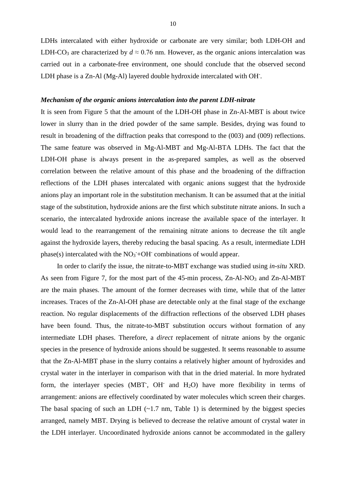LDHs intercalated with either hydroxide or carbonate are very similar; both LDH-OH and LDH-CO<sub>3</sub> are characterized by  $d \approx 0.76$  nm. However, as the organic anions intercalation was carried out in a carbonate-free environment, one should conclude that the observed second LDH phase is a Zn-Al (Mg-Al) layered double hydroxide intercalated with OH.

#### *Mechanism of the organic anions intercalation into the parent LDH-nitrate*

It is seen from Figure 5 that the amount of the LDH-OH phase in Zn-Al-MBT is about twice lower in slurry than in the dried powder of the same sample. Besides, drying was found to result in broadening of the diffraction peaks that correspond to the (003) and (009) reflections. The same feature was observed in Mg-Al-MBT and Mg-Al-BTA LDHs. The fact that the LDH-OH phase is always present in the as-prepared samples, as well as the observed correlation between the relative amount of this phase and the broadening of the diffraction reflections of the LDH phases intercalated with organic anions suggest that the hydroxide anions play an important role in the substitution mechanism. It can be assumed that at the initial stage of the substitution, hydroxide anions are the first which substitute nitrate anions. In such a scenario, the intercalated hydroxide anions increase the available space of the interlayer. It would lead to the rearrangement of the remaining nitrate anions to decrease the tilt angle against the hydroxide layers, thereby reducing the basal spacing. As a result, intermediate LDH phase(s) intercalated with the  $NO<sub>3</sub> + OH<sup>-</sup>$  combinations of would appear.

In order to clarify the issue, the nitrate-to-MBT exchange was studied using *in-situ* XRD. As seen from Figure 7, for the most part of the 45-min process, Zn-Al-NO<sub>3</sub> and Zn-Al-MBT are the main phases. The amount of the former decreases with time, while that of the latter increases. Traces of the Zn-Al-OH phase are detectable only at the final stage of the exchange reaction. No regular displacements of the diffraction reflections of the observed LDH phases have been found. Thus, the nitrate-to-MBT substitution occurs without formation of any intermediate LDH phases. Therefore, a *direct* replacement of nitrate anions by the organic species in the presence of hydroxide anions should be suggested. It seems reasonable to assume that the Zn-Al-MBT phase in the slurry contains a relatively higher amount of hydroxides and crystal water in the interlayer in comparison with that in the dried material. In more hydrated form, the interlayer species (MBT<sup>-</sup>, OH<sup>-</sup> and H<sub>2</sub>O) have more flexibility in terms of arrangement: anions are effectively coordinated by water molecules which screen their charges. The basal spacing of such an LDH  $(-1.7 \text{ nm}, \text{Table 1})$  is determined by the biggest species arranged, namely MBT. Drying is believed to decrease the relative amount of crystal water in the LDH interlayer. Uncoordinated hydroxide anions cannot be accommodated in the gallery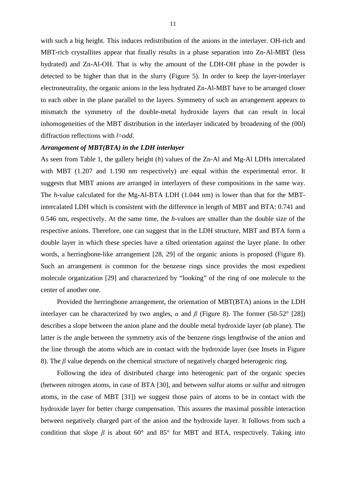with such a big height. This induces redistribution of the anions in the interlayer. OH-rich and MBT-rich crystallites appear that finally results in a phase separation into Zn-Al-MBT (less hydrated) and Zn-Al-ОН. That is why the amount of the LDH-OH phase in the powder is detected to be higher than that in the slurry (Figure 5). In order to keep the layer-interlayer electroneutrality, the organic anions in the less hydrated Zn-Al-MBT have to be arranged closer to each other in the plane parallel to the layers. Symmetry of such an arrangement appears to mismatch the symmetry of the double-metal hydroxide layers that can result in local inhomogeneities of the MBT distribution in the interlayer indicated by broadening of the (00*l*) diffraction reflections with *l*=*odd*.

## *Arrangement of MBT(BTA) in the LDH interlayer*

As seen from Table 1, the gallery height (*h*) values of the Zn-Al and Mg-Al LDHs intercalated with MBT (1.207 and 1.190 nm respectively) are equal within the experimental error. It suggests that MBT anions are arranged in interlayers of these compositions in the same way. The *h*-value calculated for the Mg-Al-BTA LDH (1.044 nm) is lower than that for the MBTintercalated LDH which is consistent with the difference in length of MBT and BTA: 0.741 and 0.546 nm, respectively. At the same time, the *h*-values are smaller than the double size of the respective anions. Therefore, one can suggest that in the LDH structure, MBT and BTA form a double layer in which these species have a tilted orientation against the layer plane. In other words, a herringbone-like arrangement [28, 29] of the organic anions is proposed (Figure 8). Such an arrangement is common for the benzene rings since provides the most expedient molecule organization [29] and characterized by "looking" of the ring of one molecule to the center of another one.

Provided the herringbone arrangement, the orientation of MBT(BTA) anions in the LDH interlayer can be characterized by two angles,  $\alpha$  and  $\beta$  (Figure 8). The former (50-52° [28]) describes a slope between the anion plane and the double metal hydroxide layer (*ab* plane). The latter is the angle between the symmetry axis of the benzene rings lengthwise of the anion and the line through the atoms which are in contact with the hydroxide layer (see Insets in Figure 8). The *β* value depends on the chemical structure of negatively charged heterogenic ring.

Following the idea of distributed charge into heterogenic part of the organic species (between nitrogen atoms, in case of BTA [30], and between sulfur atoms or sulfur and nitrogen atoms, in the case of MBT [31]) we suggest those pairs of atoms to be in contact with the hydroxide layer for better charge compensation. This assures the maximal possible interaction between negatively charged part of the anion and the hydroxide layer. It follows from such a condition that slope  $\beta$  is about 60° and 85° for MBT and BTA, respectively. Taking into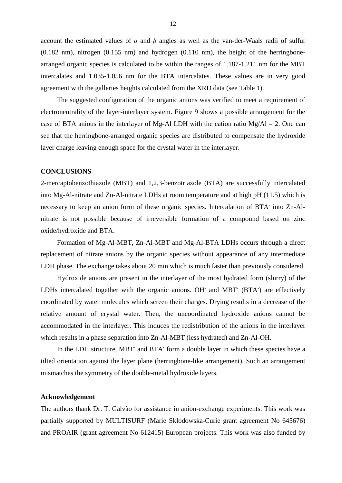account the estimated values of  $\alpha$  and  $\beta$  angles as well as the van-der-Waals radii of sulfur  $(0.182 \text{ nm})$ , nitrogen  $(0.155 \text{ nm})$  and hydrogen  $(0.110 \text{ nm})$ , the height of the herringbonearranged organic species is calculated to be within the ranges of 1.187-1.211 nm for the MBT intercalates and 1.035-1.056 nm for the BTA intercalates. These values are in very good agreement with the galleries heights calculated from the XRD data (see Table 1).

The suggested configuration of the organic anions was verified to meet a requirement of electroneutrality of the layer-interlayer system. Figure 9 shows a possible arrangement for the case of BTA anions in the interlayer of Mg-Al LDH with the cation ratio  $Mg/Al = 2$ . One can see that the herringbone-arranged organic species are distributed to compensate the hydroxide layer charge leaving enough space for the crystal water in the interlayer.

#### **CONCLUSIONS**

2-mercaptobenzothiazole (MBT) and 1,2,3-benzotriazole (BTA) are successfully intercalated into Mg-Al-nitrate and Zn-Al-nitrate LDHs at room temperature and at high pH (11.5) which is necessary to keep an anion form of these organic species. Intercalation of BTA- into Zn-Alnitrate is not possible because of irreversible formation of a compound based on zinc oxide/hydroxide and BTA.

Formation of Mg-Al-MBT, Zn-Al-MBT and Mg-Al-BTA LDHs occurs through a direct replacement of nitrate anions by the organic species without appearance of any intermediate LDH phase. The exchange takes about 20 min which is much faster than previously considered.

Hydroxide anions are present in the interlayer of the most hydrated form (slurry) of the LDHs intercalated together with the organic anions. OH and MBT (BTA) are effectively coordinated by water molecules which screen their charges. Drying results in a decrease of the relative amount of crystal water. Then, the uncoordinated hydroxide anions cannot be accommodated in the interlayer. This induces the redistribution of the anions in the interlayer which results in a phase separation into Zn-Al-MBT (less hydrated) and Zn-Al-OH.

In the LDH structure, MBT- and BTA- form a double layer in which these species have a tilted orientation against the layer plane (herringbone-like arrangement). Such an arrangement mismatches the symmetry of the double-metal hydroxide layers.

## **Acknowledgement**

The authors thank Dr. T. Galvão for assistance in anion-exchange experiments. This work was partially supported by MULTISURF (Marie Skłodowska-Curie grant agreement No 645676) and PROAIR (grant agreement No 612415) European projects. This work was also funded by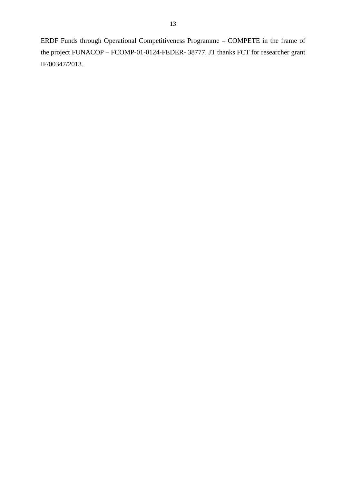ERDF Funds through Operational Competitiveness Programme – COMPETE in the frame of the project FUNACOP – FCOMP-01-0124-FEDER- 38777. JT thanks FCT for researcher grant IF/00347/2013.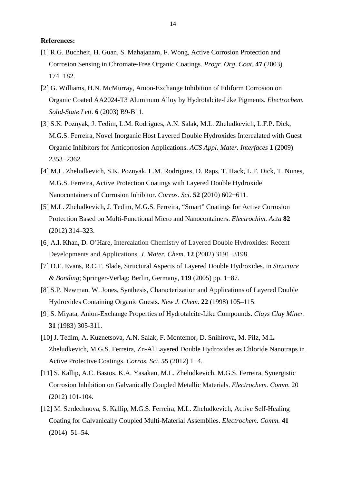- [1] R.G. Buchheit, H. Guan, S. Mahajanam, F. Wong, Active Corrosion Protection and Corrosion Sensing in Chromate-Free Organic Coatings. *Progr. Org. Coat.* **47** (2003) 174−182.
- [2] G. Williams, H.N. McMurray, Anion-Exchange Inhibition of Filiform Corrosion on Organic Coated AA2024-T3 Aluminum Alloy by Hydrotalcite-Like Pigments. *Electrochem. Solid-State Lett.* **6** (2003) B9-B11.
- [3] S.K. Poznyak, J. Tedim, L.M. Rodrigues, A.N. Salak, M.L. Zheludkevich, L.F.P. Dick, M.G.S. Ferreira, Novel Inorganic Host Layered Double Hydroxides Intercalated with Guest Organic Inhibitors for Anticorrosion Applications. *ACS Appl. Mater. Interfaces* **1** (2009) 2353−2362.
- [4] M.L. Zheludkevich, S.K. Poznyak, L.M. Rodrigues, D. Raps, T. Hack, L.F. Dick, T. Nunes, M.G.S. Ferreira, Active Protection Coatings with Layered Double Hydroxide Nanocontainers of Corrosion Inhibitor*. Corros. Sci*. **52** (2010) 602−611.
- [5] M.L. Zheludkevich, J. Tedim, M.G.S. Ferreira, "Smart" Coatings for Active Corrosion Protection Based on Multi-Functional Micro and Nanocontainers. *Electrochim. Acta* **82** (2012) 314–323.
- [6] A.I. Khan, D. O'Hare, Intercalation Chemistry of Layered Double Hydroxides: Recent Developments and Applications. *J. Mater. Chem*. **12** (2002) 3191−3198.
- [7] D.E. Evans, R.C.T. Slade, Structural Aspects of Layered Double Hydroxides. in *Structure & Bonding*; Springer-Verlag: Berlin, Germany, **119** (2005) pp. 1−87.
- [8] S.P. Newman, W. Jones, Synthesis, Characterization and Applications of Layered Double Hydroxides Containing Organic Guests. *New J. Chem.* **22** (1998) 105–115.
- [9] S. Miyata, Anion-Exchange Properties of Hydrotalcite-Like Compounds. *Clays Clay Miner*. **31** (1983) 305-311.
- [10] J. Tedim, A. Kuznetsova, A.N. Salak, F. Montemor, D. Snihirova, M. Pilz, M.L. Zheludkevich, M.G.S. Ferreira, Zn-Al Layered Double Hydroxides as Chloride Nanotraps in Active Protective Coatings. *Corros. Sci*. **55** (2012) 1−4.
- [11] S. Kallip, A.C. Bastos, K.A. Yasakau, M.L. Zheludkevich, M.G.S. Ferreira, Synergistic Corrosion Inhibition on Galvanically Coupled Metallic Materials. *Electrochem. Comm*. 20 (2012) 101-104.
- [12] M. Serdechnova, S. Kallip, M.G.S. Ferreira, M.L. Zheludkevich, Active Self-Healing Coating for Galvanically Coupled Multi-Material Assemblies. *Electrochem. Comm.* **41** (2014) 51–54.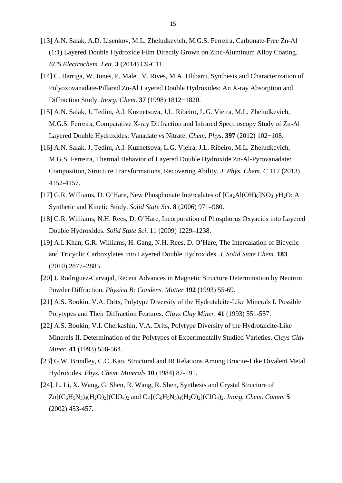- [13] A.N. Salak, A.D. Lisenkov, M.L. Zheludkevich, M.G.S. Ferreira, Carbonate-Free Zn-Al (1:1) Layered Double Hydroxide Film Directly Grown on Zinc-Aluminum Alloy Coating. *ECS Electrochem. Lett*. **3** (2014) C9-C11.
- [14] C. Barriga, W. Jones, P. Malet, V. Rives, M.A. Ulibarri, Synthesis and Characterization of Polyoxovanadate-Pillared Zn-Al Layered Double Hydroxides: An X-ray Absorption and Diffraction Study. *Inorg. Chem*. **37** (1998) 1812−1820.
- [15] A.N. Salak, J. Tedim, A.I. Kuznetsova, J.L. Ribeiro, L.G. Vieira, M.L. Zheludkevich, M.G.S. Ferreira, Comparative X-ray Diffraction and Infrared Spectroscopy Study of Zn-Al Layered Double Hydroxides: Vanadate *vs* Nitrate. *Chem. Phys*. **397** (2012) 102−108.
- [16] A.N. Salak, J. Tedim, A.I. Kuznetsova, L.G. Vieira, J.L. Ribeiro, M.L. Zheludkevich, M.G.S. Ferreira, Thermal Behavior of Layered Double Hydroxide Zn-Al-Pyrovanadate: Composition, Structure Transformations, Recovering Ability. *J. Phys. Chem. C* 117 (2013) 4152-4157.
- [17] G.R. Williams, D. O'Hare, New Phosphonate Intercalates of [Ca2Al(OH)6]NO3·*y*H2O: A Synthetic and Kinetic Study. *Solid State Sci*. **8** (2006) 971–980.
- [18] G.R. Williams, N.H. Rees, D. O'Hare, Incorporation of Phosphorus Oxyacids into Layered Double Hydroxides. *Solid State Sci*. 11 (2009) 1229–1238.
- [19] A.I. Khan, G.R. Williams, H. Gang, N.H. Rees, D. O'Hare, The Intercalation of Bicyclic and Tricyclic Carboxylates into Layered Double Hydroxides. *J. Solid State Chem*. **183** (2010) 2877–2885.
- [20] J. Rodriguez-Carvajal, Recent Advances in Magnetic Structure Determination by Neutron Powder Diffraction. *Physica B: Condens. Matter* **192** (1993) 55-69.
- [21] A.S. Bookin, V.A. Drits, Polytype Diversity of the Hydrotalcite-Like Minerals I. Possible Polytypes and Their Diffraction Features. *Clays Clay Miner*. **41** (1993) 551-557.
- [22] A.S. Bookin, V.I. Cherkashin, V.A. Drits, Polytype Diversity of the Hydrotalcite-Like Minerals II. Determination of the Polytypes of Experimentally Studied Varieties. *Clays Clay Miner.* **41** (1993) 558-564.
- [23] G.W. Brindley, C.C. Kao, Structural and IR Relations Among Brucite-Like Divalent Metal Hydroxides. *Phys. Chem. Minerals* **10** (1984) 87-191.
- [24]. L. Li, X. Wang, G. Shen, R. Wang, R. Shen, Synthesis and Crystal Structure of Zn[(C6H5N3)4(H2O)2](ClO4)2 and Cu[(C6H5N3)4(H2O)2](ClO4)2*. Inorg. Chem. Comm.* **5** (2002) 453-457.